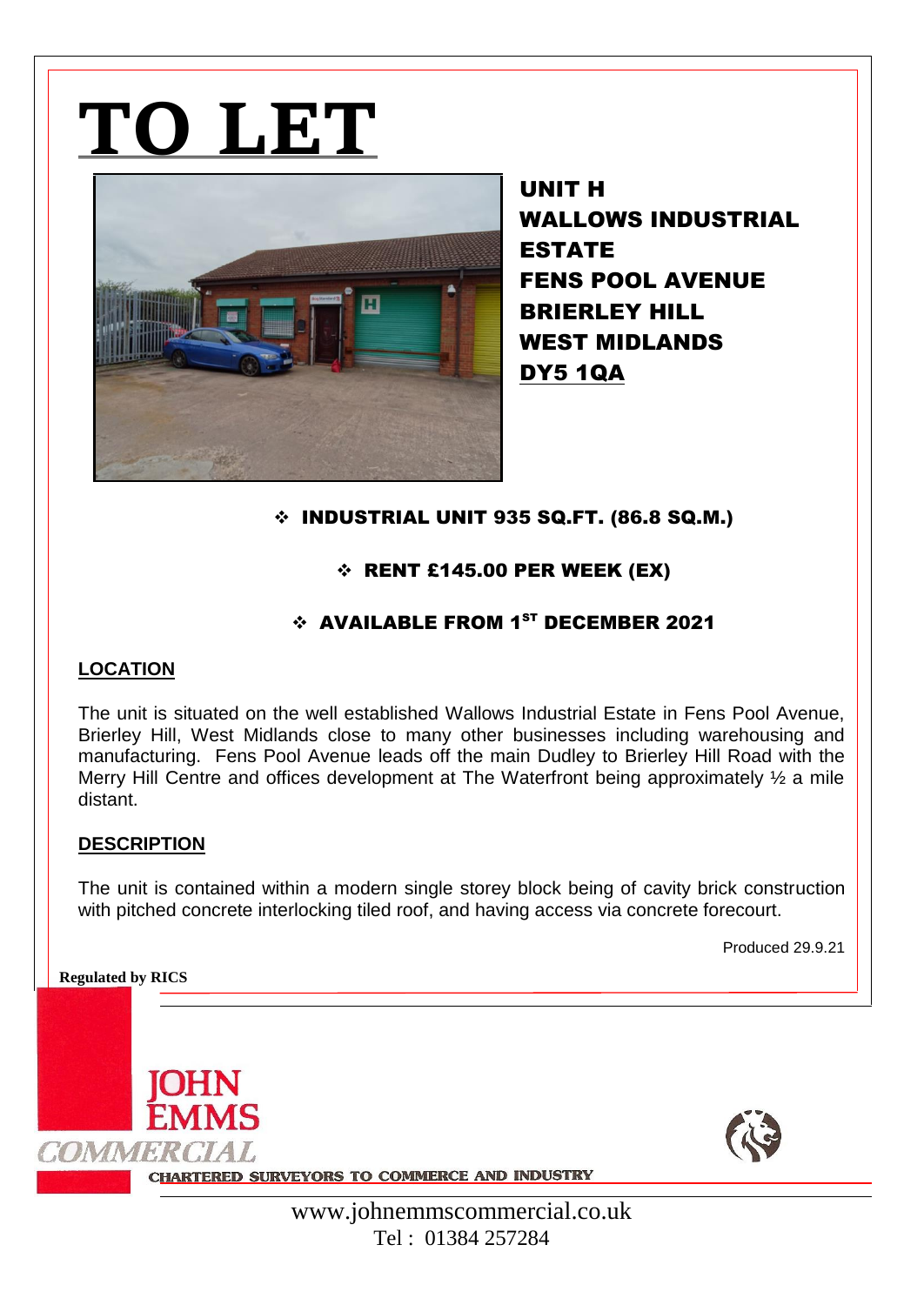# **TO LET**



UNIT H WALLOWS INDUSTRIAL ESTATE FENS POOL AVENUE BRIERLEY HILL WEST MIDLANDS DY5 1QA

## INDUSTRIAL UNIT 935 SQ.FT. (86.8 SQ.M.)

### $\div$  RENT £145.00 PER WEEK (EX)

## $\div$  AVAILABLE FROM 1<sup>ST</sup> DECEMBER 2021

#### **LOCATION**

The unit is situated on the well established Wallows Industrial Estate in Fens Pool Avenue, Brierley Hill, West Midlands close to many other businesses including warehousing and manufacturing. Fens Pool Avenue leads off the main Dudley to Brierley Hill Road with the Merry Hill Centre and offices development at The Waterfront being approximately  $\frac{1}{2}$  a mile distant.

#### **DESCRIPTION**

The unit is contained within a modern single storey block being of cavity brick construction with pitched concrete interlocking tiled roof, and having access via concrete forecourt.

Produced 29.9.21

**Regulated by RICS**

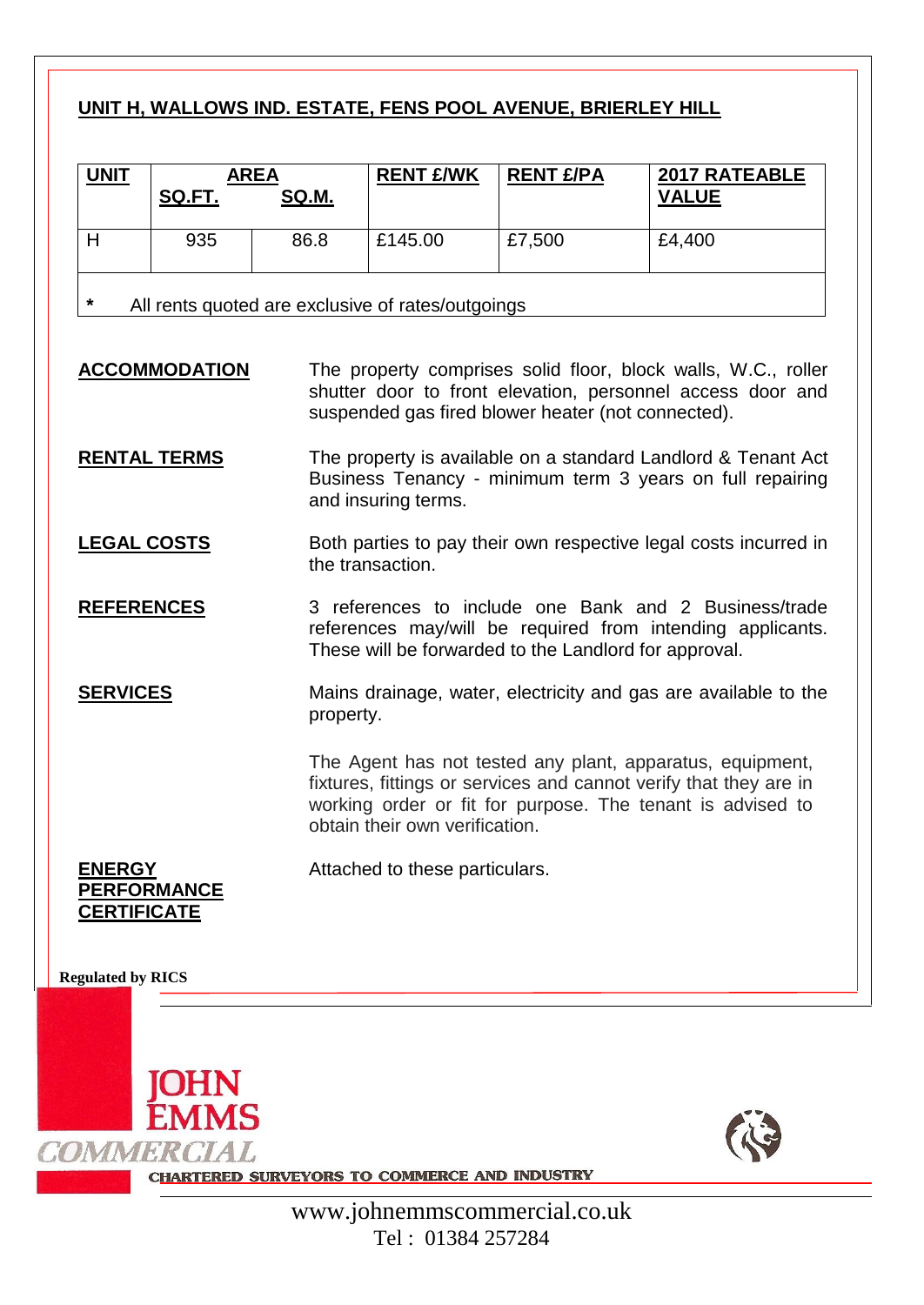## **UNIT H, WALLOWS IND. ESTATE, FENS POOL AVENUE, BRIERLEY HILL**

| <b>UNIT</b>                                                  | <b>AREA</b><br>SQ.FT. | SQ.M. | <b>RENT £/WK</b> | <b>RENT £/PA</b> | <b>2017 RATEABLE</b><br><b>VALUE</b> |
|--------------------------------------------------------------|-----------------------|-------|------------------|------------------|--------------------------------------|
|                                                              | 935                   | 86.8  | £145.00          | £7,500           | £4,400                               |
| $\star$<br>All rents quoted are exclusive of rates/outgoings |                       |       |                  |                  |                                      |

**ACCOMMODATION** The property comprises solid floor, block walls, W.C., roller shutter door to front elevation, personnel access door and suspended gas fired blower heater (not connected).

- **RENTAL TERMS** The property is available on a standard Landlord & Tenant Act Business Tenancy - minimum term 3 years on full repairing and insuring terms.
- **LEGAL COSTS** Both parties to pay their own respective legal costs incurred in the transaction.
- **REFERENCES** 3 references to include one Bank and 2 Business/trade references may/will be required from intending applicants. These will be forwarded to the Landlord for approval.

**SERVICES** Mains drainage, water, electricity and gas are available to the property.

> The Agent has not tested any plant, apparatus, equipment, fixtures, fittings or services and cannot verify that they are in working order or fit for purpose. The tenant is advised to obtain their own verification.

**ENERGY PERFORMANCE CERTIFICATE**

Attached to these particulars.

**Regulated by RICS**





**CHARTERED SURVEYORS TO COMMERCE AND INDUSTRY**